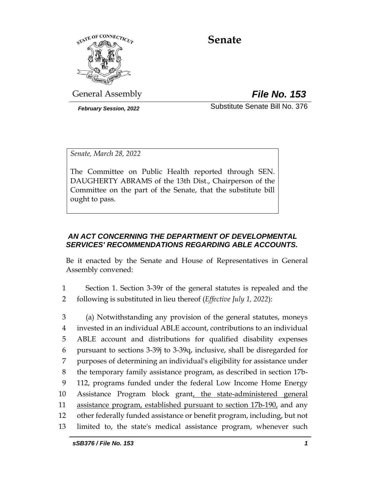

# **Senate**

General Assembly *File No. 153*

*February Session, 2022* Substitute Senate Bill No. 376

*Senate, March 28, 2022*

The Committee on Public Health reported through SEN. DAUGHERTY ABRAMS of the 13th Dist., Chairperson of the Committee on the part of the Senate, that the substitute bill ought to pass.

## *AN ACT CONCERNING THE DEPARTMENT OF DEVELOPMENTAL SERVICES' RECOMMENDATIONS REGARDING ABLE ACCOUNTS.*

Be it enacted by the Senate and House of Representatives in General Assembly convened:

- 1 Section 1. Section 3-39r of the general statutes is repealed and the 2 following is substituted in lieu thereof (*Effective July 1, 2022*):
- 3 (a) Notwithstanding any provision of the general statutes, moneys 4 invested in an individual ABLE account, contributions to an individual 5 ABLE account and distributions for qualified disability expenses 6 pursuant to sections 3-39j to 3-39q, inclusive, shall be disregarded for 7 purposes of determining an individual's eligibility for assistance under 8 the temporary family assistance program, as described in section 17b-9 112, programs funded under the federal Low Income Home Energy 10 Assistance Program block grant, the state-administered general 11 assistance program, established pursuant to section 17b-190, and any 12 other federally funded assistance or benefit program, including, but not 13 limited to, the state's medical assistance program, whenever such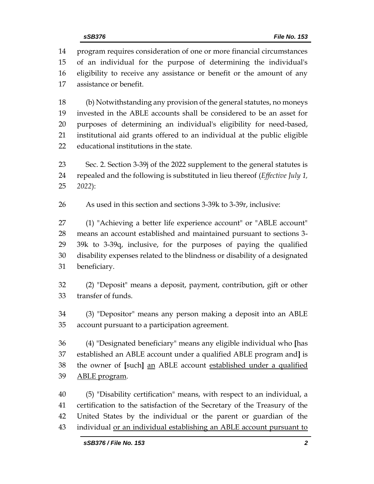program requires consideration of one or more financial circumstances of an individual for the purpose of determining the individual's eligibility to receive any assistance or benefit or the amount of any assistance or benefit.

 (b) Notwithstanding any provision of the general statutes, no moneys invested in the ABLE accounts shall be considered to be an asset for purposes of determining an individual's eligibility for need-based, institutional aid grants offered to an individual at the public eligible educational institutions in the state.

 Sec. 2. Section 3-39j of the 2022 supplement to the general statutes is repealed and the following is substituted in lieu thereof (*Effective July 1, 2022*):

As used in this section and sections 3-39k to 3-39r, inclusive:

 (1) "Achieving a better life experience account" or "ABLE account" means an account established and maintained pursuant to sections 3- 39k to 3-39q, inclusive, for the purposes of paying the qualified disability expenses related to the blindness or disability of a designated beneficiary.

 (2) "Deposit" means a deposit, payment, contribution, gift or other transfer of funds.

 (3) "Depositor" means any person making a deposit into an ABLE account pursuant to a participation agreement.

 (4) "Designated beneficiary" means any eligible individual who **[**has established an ABLE account under a qualified ABLE program and**]** is the owner of **[**such**]** an ABLE account established under a qualified ABLE program.

 (5) "Disability certification" means, with respect to an individual, a certification to the satisfaction of the Secretary of the Treasury of the United States by the individual or the parent or guardian of the individual or an individual establishing an ABLE account pursuant to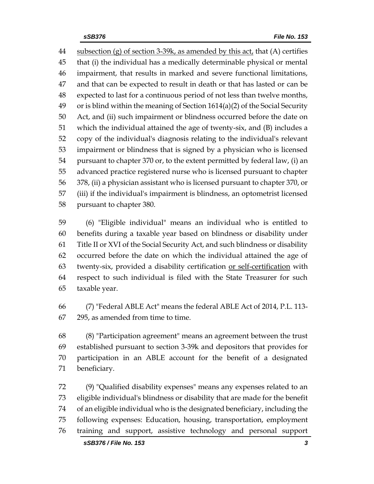subsection (g) of section 3-39k, as amended by this act, that (A) certifies that (i) the individual has a medically determinable physical or mental impairment, that results in marked and severe functional limitations, and that can be expected to result in death or that has lasted or can be expected to last for a continuous period of not less than twelve months, or is blind within the meaning of Section 1614(a)(2) of the Social Security Act, and (ii) such impairment or blindness occurred before the date on which the individual attained the age of twenty-six, and (B) includes a copy of the individual's diagnosis relating to the individual's relevant impairment or blindness that is signed by a physician who is licensed pursuant to chapter 370 or, to the extent permitted by federal law, (i) an advanced practice registered nurse who is licensed pursuant to chapter 378, (ii) a physician assistant who is licensed pursuant to chapter 370, or (iii) if the individual's impairment is blindness, an optometrist licensed pursuant to chapter 380.

 (6) "Eligible individual" means an individual who is entitled to benefits during a taxable year based on blindness or disability under Title II or XVI of the Social Security Act, and such blindness or disability occurred before the date on which the individual attained the age of twenty-six, provided a disability certification or self-certification with respect to such individual is filed with the State Treasurer for such taxable year.

 (7) "Federal ABLE Act" means the federal ABLE Act of 2014, P.L. 113- 295, as amended from time to time.

 (8) "Participation agreement" means an agreement between the trust established pursuant to section 3-39k and depositors that provides for participation in an ABLE account for the benefit of a designated beneficiary.

 (9) "Qualified disability expenses" means any expenses related to an eligible individual's blindness or disability that are made for the benefit of an eligible individual who is the designated beneficiary, including the following expenses: Education, housing, transportation, employment training and support, assistive technology and personal support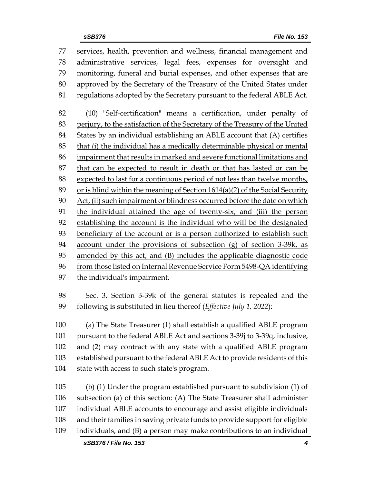services, health, prevention and wellness, financial management and administrative services, legal fees, expenses for oversight and monitoring, funeral and burial expenses, and other expenses that are approved by the Secretary of the Treasury of the United States under regulations adopted by the Secretary pursuant to the federal ABLE Act. (10) "Self-certification" means a certification, under penalty of perjury, to the satisfaction of the Secretary of the Treasury of the United States by an individual establishing an ABLE account that (A) certifies that (i) the individual has a medically determinable physical or mental impairment that results in marked and severe functional limitations and that can be expected to result in death or that has lasted or can be expected to last for a continuous period of not less than twelve months, 89 or is blind within the meaning of Section  $1614(a)(2)$  of the Social Security Act, (ii) such impairment or blindness occurred before the date on which the individual attained the age of twenty-six, and (iii) the person establishing the account is the individual who will be the designated beneficiary of the account or is a person authorized to establish such account under the provisions of subsection (g) of section 3-39k, as amended by this act, and (B) includes the applicable diagnostic code 96 from those listed on Internal Revenue Service Form 5498-QA identifying the individual's impairment.

 Sec. 3. Section 3-39k of the general statutes is repealed and the following is substituted in lieu thereof (*Effective July 1, 2022*):

 (a) The State Treasurer (1) shall establish a qualified ABLE program pursuant to the federal ABLE Act and sections 3-39j to 3-39q, inclusive, and (2) may contract with any state with a qualified ABLE program established pursuant to the federal ABLE Act to provide residents of this state with access to such state's program.

 (b) (1) Under the program established pursuant to subdivision (1) of subsection (a) of this section: (A) The State Treasurer shall administer individual ABLE accounts to encourage and assist eligible individuals and their families in saving private funds to provide support for eligible individuals, and (B) a person may make contributions to an individual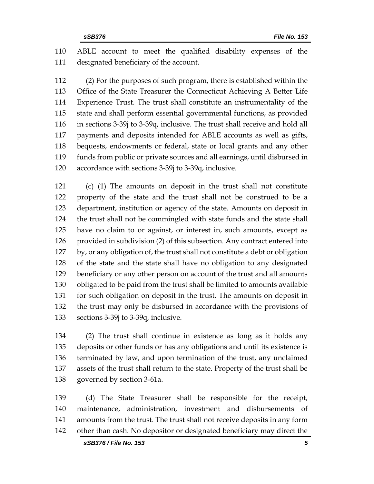ABLE account to meet the qualified disability expenses of the designated beneficiary of the account.

 (2) For the purposes of such program, there is established within the Office of the State Treasurer the Connecticut Achieving A Better Life Experience Trust. The trust shall constitute an instrumentality of the state and shall perform essential governmental functions, as provided in sections 3-39j to 3-39q, inclusive. The trust shall receive and hold all payments and deposits intended for ABLE accounts as well as gifts, bequests, endowments or federal, state or local grants and any other funds from public or private sources and all earnings, until disbursed in accordance with sections 3-39j to 3-39q, inclusive.

 (c) (1) The amounts on deposit in the trust shall not constitute property of the state and the trust shall not be construed to be a department, institution or agency of the state. Amounts on deposit in the trust shall not be commingled with state funds and the state shall have no claim to or against, or interest in, such amounts, except as provided in subdivision (2) of this subsection. Any contract entered into by, or any obligation of, the trust shall not constitute a debt or obligation of the state and the state shall have no obligation to any designated beneficiary or any other person on account of the trust and all amounts obligated to be paid from the trust shall be limited to amounts available for such obligation on deposit in the trust. The amounts on deposit in the trust may only be disbursed in accordance with the provisions of sections 3-39j to 3-39q, inclusive.

 (2) The trust shall continue in existence as long as it holds any deposits or other funds or has any obligations and until its existence is terminated by law, and upon termination of the trust, any unclaimed assets of the trust shall return to the state. Property of the trust shall be governed by section 3-61a.

 (d) The State Treasurer shall be responsible for the receipt, maintenance, administration, investment and disbursements of amounts from the trust. The trust shall not receive deposits in any form other than cash. No depositor or designated beneficiary may direct the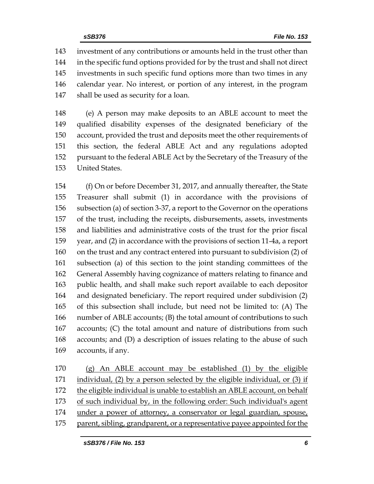investment of any contributions or amounts held in the trust other than in the specific fund options provided for by the trust and shall not direct investments in such specific fund options more than two times in any calendar year. No interest, or portion of any interest, in the program shall be used as security for a loan.

 (e) A person may make deposits to an ABLE account to meet the qualified disability expenses of the designated beneficiary of the account, provided the trust and deposits meet the other requirements of this section, the federal ABLE Act and any regulations adopted pursuant to the federal ABLE Act by the Secretary of the Treasury of the United States.

 (f) On or before December 31, 2017, and annually thereafter, the State Treasurer shall submit (1) in accordance with the provisions of subsection (a) of section 3-37, a report to the Governor on the operations of the trust, including the receipts, disbursements, assets, investments and liabilities and administrative costs of the trust for the prior fiscal year, and (2) in accordance with the provisions of section 11-4a, a report on the trust and any contract entered into pursuant to subdivision (2) of subsection (a) of this section to the joint standing committees of the General Assembly having cognizance of matters relating to finance and public health, and shall make such report available to each depositor and designated beneficiary. The report required under subdivision (2) of this subsection shall include, but need not be limited to: (A) The number of ABLE accounts; (B) the total amount of contributions to such accounts; (C) the total amount and nature of distributions from such accounts; and (D) a description of issues relating to the abuse of such accounts, if any.

 (g) An ABLE account may be established (1) by the eligible 171 individual, (2) by a person selected by the eligible individual, or (3) if the eligible individual is unable to establish an ABLE account, on behalf of such individual by, in the following order: Such individual's agent under a power of attorney, a conservator or legal guardian, spouse, parent, sibling, grandparent, or a representative payee appointed for the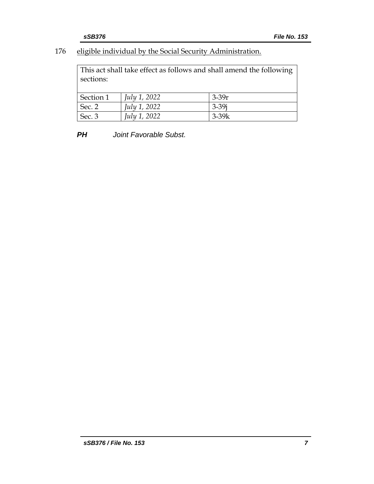## 176 eligible individual by the Social Security Administration.

This act shall take effect as follows and shall amend the following sections:

| Section 1      | July 1, 2022 | $3-39r$   |
|----------------|--------------|-----------|
| Sec. 2         | July 1, 2022 | $3 - 39i$ |
| $\vert$ Sec. 3 | July 1, 2022 | $3-39k$   |

*PH Joint Favorable Subst.*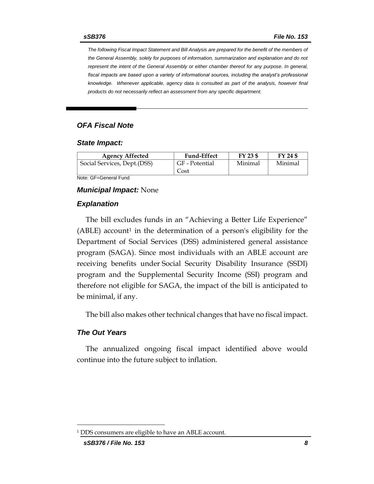*The following Fiscal Impact Statement and Bill Analysis are prepared for the benefit of the members of the General Assembly, solely for purposes of information, summarization and explanation and do not represent the intent of the General Assembly or either chamber thereof for any purpose. In general,*  fiscal impacts are based upon a variety of informational sources, including the analyst's professional *knowledge. Whenever applicable, agency data is consulted as part of the analysis, however final products do not necessarily reflect an assessment from any specific department.*

#### *OFA Fiscal Note*

#### *State Impact:*

| <b>Agency Affected</b>      | <b>Fund-Effect</b> | FY 23 \$ | FY 24 \$ |
|-----------------------------|--------------------|----------|----------|
| Social Services, Dept.(DSS) | GF - Potential     | Minimal  | Minimal  |
|                             | Cost               |          |          |

Note: GF=General Fund

#### *Municipal Impact:* None

#### *Explanation*

The bill excludes funds in an "Achieving a Better Life Experience"  $(ABLE)$  account<sup>1</sup> in the determination of a person's eligibility for the Department of Social Services (DSS) administered general assistance program (SAGA). Since most individuals with an ABLE account are receiving benefits under Social Security Disability Insurance (SSDI) program and the Supplemental Security Income (SSI) program and therefore not eligible for SAGA, the impact of the bill is anticipated to be minimal, if any.

The bill also makes other technical changes that have no fiscal impact.

#### *The Out Years*

The annualized ongoing fiscal impact identified above would continue into the future subject to inflation.

<sup>1</sup> DDS consumers are eligible to have an ABLE account.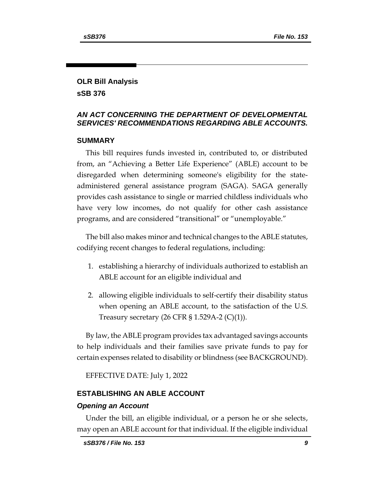## **OLR Bill Analysis sSB 376**

## *AN ACT CONCERNING THE DEPARTMENT OF DEVELOPMENTAL SERVICES' RECOMMENDATIONS REGARDING ABLE ACCOUNTS.*

## **SUMMARY**

This bill requires funds invested in, contributed to, or distributed from, an "Achieving a Better Life Experience" (ABLE) account to be disregarded when determining someone's eligibility for the stateadministered general assistance program (SAGA). SAGA generally provides cash assistance to single or married childless individuals who have very low incomes, do not qualify for other cash assistance programs, and are considered "transitional" or "unemployable."

The bill also makes minor and technical changes to the ABLE statutes, codifying recent changes to federal regulations, including:

- 1. establishing a hierarchy of individuals authorized to establish an ABLE account for an eligible individual and
- 2. allowing eligible individuals to self-certify their disability status when opening an ABLE account, to the satisfaction of the U.S. Treasury secretary  $(26 \text{ CFR } $ 1.529 \text{A-2 } (\text{C})(1)).$

By law, the ABLE program provides tax advantaged savings accounts to help individuals and their families save private funds to pay for certain expenses related to disability or blindness (see BACKGROUND).

EFFECTIVE DATE: July 1, 2022

### **ESTABLISHING AN ABLE ACCOUNT**

### *Opening an Account*

Under the bill, an eligible individual, or a person he or she selects, may open an ABLE account for that individual. If the eligible individual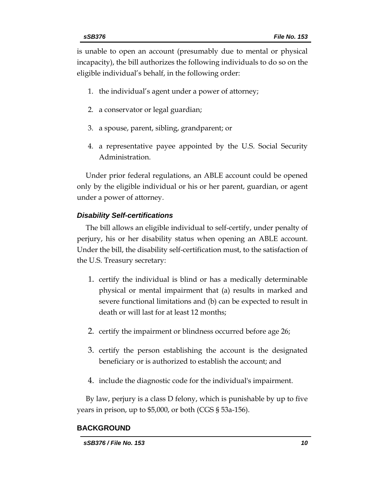is unable to open an account (presumably due to mental or physical incapacity), the bill authorizes the following individuals to do so on the eligible individual's behalf, in the following order:

- 1. the individual's agent under a power of attorney;
- 2. a conservator or legal guardian;
- 3. a spouse, parent, sibling, grandparent; or
- 4. a representative payee appointed by the U.S. Social Security Administration.

Under prior federal regulations, an ABLE account could be opened only by the eligible individual or his or her parent, guardian, or agent under a power of attorney.

#### *Disability Self-certifications*

The bill allows an eligible individual to self-certify, under penalty of perjury, his or her disability status when opening an ABLE account. Under the bill, the disability self-certification must, to the satisfaction of the U.S. Treasury secretary:

- 1. certify the individual is blind or has a medically determinable physical or mental impairment that (a) results in marked and severe functional limitations and (b) can be expected to result in death or will last for at least 12 months;
- 2. certify the impairment or blindness occurred before age 26;
- 3. certify the person establishing the account is the designated beneficiary or is authorized to establish the account; and
- 4. include the diagnostic code for the individual's impairment.

By law, perjury is a class D felony, which is punishable by up to five years in prison, up to \$5,000, or both (CGS § 53a-156).

#### **BACKGROUND**